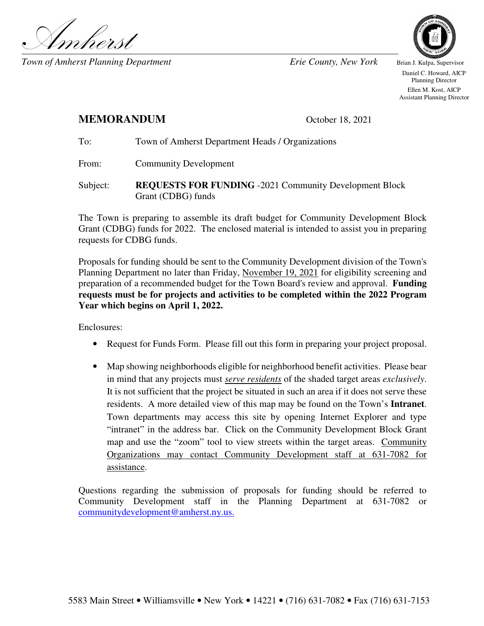

*Town of Amherst Planning Department* Erie County, New York Brian J. Kulpa, Supervisor



 Daniel C. Howard, AICP Planning Director Ellen M. Kost, AICP Assistant Planning Director

## **MEMORANDUM** October 18, 2021

# To: Town of Amherst Department Heads / Organizations

From: Community Development

Subject: **REQUESTS FOR FUNDING** -2021 Community Development Block Grant (CDBG) funds

The Town is preparing to assemble its draft budget for Community Development Block Grant (CDBG) funds for 2022. The enclosed material is intended to assist you in preparing requests for CDBG funds.

Proposals for funding should be sent to the Community Development division of the Town's Planning Department no later than Friday, November 19, 2021 for eligibility screening and preparation of a recommended budget for the Town Board's review and approval. **Funding requests must be for projects and activities to be completed within the 2022 Program Year which begins on April 1, 2022.** 

Enclosures:

- Request for Funds Form. Please fill out this form in preparing your project proposal.
- Map showing neighborhoods eligible for neighborhood benefit activities. Please bear in mind that any projects must *serve residents* of the shaded target areas *exclusively*. It is not sufficient that the project be situated in such an area if it does not serve these residents. A more detailed view of this map may be found on the Town's **Intranet**. Town departments may access this site by opening Internet Explorer and type "intranet" in the address bar. Click on the Community Development Block Grant map and use the "zoom" tool to view streets within the target areas. Community Organizations may contact Community Development staff at 631-7082 for assistance.

Questions regarding the submission of proposals for funding should be referred to Community Development staff in the Planning Department at 631-7082 or communitydevelopment@amherst.ny.us.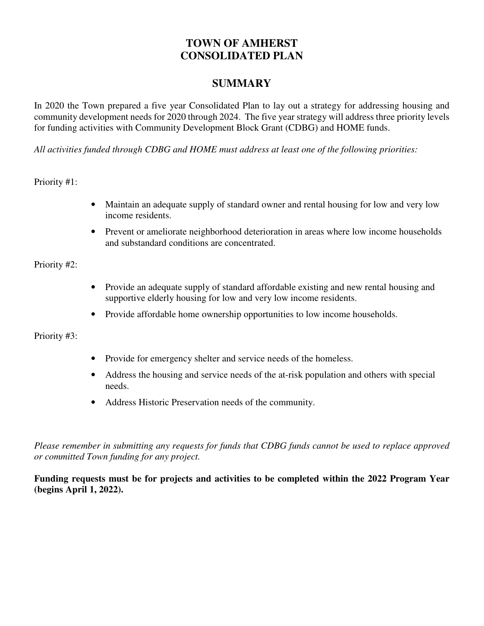## **TOWN OF AMHERST CONSOLIDATED PLAN**

## **SUMMARY**

In 2020 the Town prepared a five year Consolidated Plan to lay out a strategy for addressing housing and community development needs for 2020 through 2024. The five year strategy will address three priority levels for funding activities with Community Development Block Grant (CDBG) and HOME funds.

*All activities funded through CDBG and HOME must address at least one of the following priorities:* 

Priority #1:

- Maintain an adequate supply of standard owner and rental housing for low and very low income residents.
- Prevent or ameliorate neighborhood deterioration in areas where low income households and substandard conditions are concentrated.

#### Priority #2:

- Provide an adequate supply of standard affordable existing and new rental housing and supportive elderly housing for low and very low income residents.
- Provide affordable home ownership opportunities to low income households.

Priority #3:

- Provide for emergency shelter and service needs of the homeless.
- Address the housing and service needs of the at-risk population and others with special needs.
- Address Historic Preservation needs of the community.

*Please remember in submitting any requests for funds that CDBG funds cannot be used to replace approved or committed Town funding for any project.* 

**Funding requests must be for projects and activities to be completed within the 2022 Program Year (begins April 1, 2022).**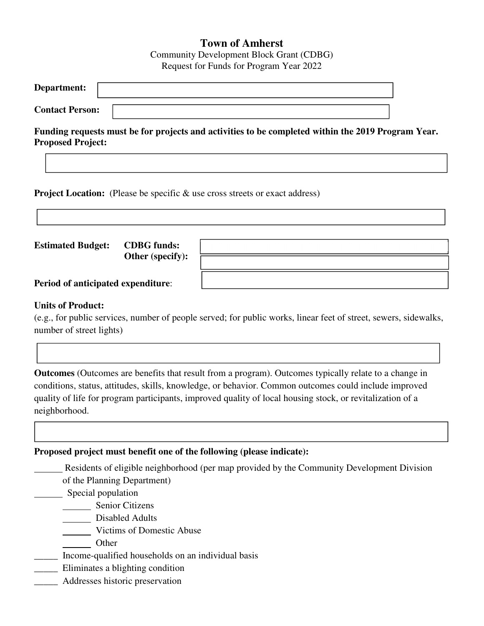## **Town of Amherst**

Community Development Block Grant (CDBG) Request for Funds for Program Year 2022

| Department:            |  |
|------------------------|--|
| <b>Contact Person:</b> |  |

**Funding requests must be for projects and activities to be completed within the 2019 Program Year. Proposed Project:** 

**Project Location:** (Please be specific & use cross streets or exact address)

**Estimated Budget: CDBG funds:** 

**Other (specify):** 

**Period of anticipated expenditure**:

### **Units of Product:**

(e.g., for public services, number of people served; for public works, linear feet of street, sewers, sidewalks, number of street lights)

**Outcomes** (Outcomes are benefits that result from a program). Outcomes typically relate to a change in conditions, status, attitudes, skills, knowledge, or behavior. Common outcomes could include improved quality of life for program participants, improved quality of local housing stock, or revitalization of a neighborhood.

### **Proposed project must benefit one of the following (please indicate):**

Residents of eligible neighborhood (per map provided by the Community Development Division

of the Planning Department)

Special population

Senior Citizens

Disabled Adults

Victims of Domestic Abuse

**Other** 

\_\_\_\_\_ Income-qualified households on an individual basis

\_\_\_\_\_ Eliminates a blighting condition

\_\_\_\_\_ Addresses historic preservation